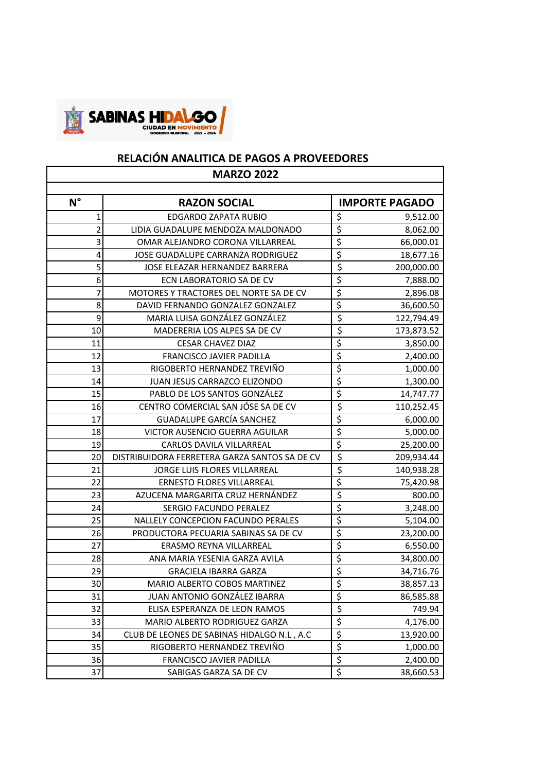

## **RELACIÓN ANALITICA DE PAGOS A PROVEEDORES**

| <b>MARZO 2022</b> |                                               |                                     |                       |  |  |
|-------------------|-----------------------------------------------|-------------------------------------|-----------------------|--|--|
|                   |                                               |                                     |                       |  |  |
| $N^{\circ}$       | <b>RAZON SOCIAL</b>                           |                                     | <b>IMPORTE PAGADO</b> |  |  |
| 1                 | EDGARDO ZAPATA RUBIO                          | \$                                  | 9,512.00              |  |  |
| 2                 | LIDIA GUADALUPE MENDOZA MALDONADO             | $\overline{\xi}$                    | 8,062.00              |  |  |
| 3                 | OMAR ALEJANDRO CORONA VILLARREAL              | \$                                  | 66,000.01             |  |  |
| 4                 | JOSE GUADALUPE CARRANZA RODRIGUEZ             | $\overline{\xi}$                    | 18,677.16             |  |  |
| 5                 | JOSE ELEAZAR HERNANDEZ BARRERA                | \$                                  | 200,000.00            |  |  |
| 6                 | ECN LABORATORIO SA DE CV                      | \$                                  | 7,888.00              |  |  |
| 7                 | MOTORES Y TRACTORES DEL NORTE SA DE CV        | $\overline{\boldsymbol{\zeta}}$     | 2,896.08              |  |  |
| 8                 | DAVID FERNANDO GONZALEZ GONZALEZ              | \$                                  | 36,600.50             |  |  |
| 9                 | MARIA LUISA GONZÁLEZ GONZÁLEZ                 | $\overline{\xi}$                    | 122,794.49            |  |  |
| 10                | MADERERIA LOS ALPES SA DE CV                  | $\overline{\boldsymbol{\varsigma}}$ | 173,873.52            |  |  |
| 11                | <b>CESAR CHAVEZ DIAZ</b>                      | \$                                  | 3,850.00              |  |  |
| 12                | <b>FRANCISCO JAVIER PADILLA</b>               | $\overline{\boldsymbol{\zeta}}$     | 2,400.00              |  |  |
| 13                | RIGOBERTO HERNANDEZ TREVIÑO                   | \$                                  | 1,000.00              |  |  |
| 14                | JUAN JESUS CARRAZCO ELIZONDO                  | $\overline{\xi}$                    | 1,300.00              |  |  |
| 15                | PABLO DE LOS SANTOS GONZÁLEZ                  | $\overline{\xi}$                    | 14,747.77             |  |  |
| 16                | CENTRO COMERCIAL SAN JÓSE SA DE CV            | \$                                  | 110,252.45            |  |  |
| 17                | <b>GUADALUPE GARCÍA SANCHEZ</b>               | $\overline{\boldsymbol{\zeta}}$     | 6,000.00              |  |  |
| 18                | VICTOR AUSENCIO GUERRA AGUILAR                | $\overline{\xi}$                    | 5,000.00              |  |  |
| 19                | CARLOS DAVILA VILLARREAL                      | $\overline{\xi}$                    | 25,200.00             |  |  |
| 20                | DISTRIBUIDORA FERRETERA GARZA SANTOS SA DE CV | $\overline{\xi}$                    | 209,934.44            |  |  |
| 21                | JORGE LUIS FLORES VILLARREAL                  | \$                                  | 140,938.28            |  |  |
| 22                | <b>ERNESTO FLORES VILLARREAL</b>              | $\overline{\xi}$                    | 75,420.98             |  |  |
| 23                | AZUCENA MARGARITA CRUZ HERNÁNDEZ              | $\overline{\xi}$                    | 800.00                |  |  |
| 24                | SERGIO FACUNDO PERALEZ                        | $\overline{\xi}$                    | 3,248.00              |  |  |
| 25                | NALLELY CONCEPCION FACUNDO PERALES            | \$                                  | 5,104.00              |  |  |
| 26                | PRODUCTORA PECUARIA SABINAS SA DE CV          | \$                                  | 23,200.00             |  |  |
| 27                | ERASMO REYNA VILLARREAL                       | $\overline{\boldsymbol{\zeta}}$     | 6,550.00              |  |  |
| 28                | ANA MARIA YESENIA GARZA AVILA                 | $\overline{\xi}$                    | 34,800.00             |  |  |
| 29                | <b>GRACIELA IBARRA GARZA</b>                  | $\overline{\xi}$                    | 34,716.76             |  |  |
| 30                | MARIO ALBERTO COBOS MARTINEZ                  | \$                                  | 38,857.13             |  |  |
| 31                | JUAN ANTONIO GONZÁLEZ IBARRA                  | \$                                  | 86,585.88             |  |  |
| 32                | ELISA ESPERANZA DE LEON RAMOS                 | $\overline{\boldsymbol{\zeta}}$     | 749.94                |  |  |
| 33                | MARIO ALBERTO RODRIGUEZ GARZA                 | $\overline{\boldsymbol{\zeta}}$     | 4,176.00              |  |  |
| 34                | CLUB DE LEONES DE SABINAS HIDALGO N.L., A.C.  | \$                                  | 13,920.00             |  |  |
| 35                | RIGOBERTO HERNANDEZ TREVIÑO                   | \$                                  | 1,000.00              |  |  |
| 36                | FRANCISCO JAVIER PADILLA                      | $\overline{\xi}$                    | 2,400.00              |  |  |
| 37                | SABIGAS GARZA SA DE CV                        | \$                                  | 38,660.53             |  |  |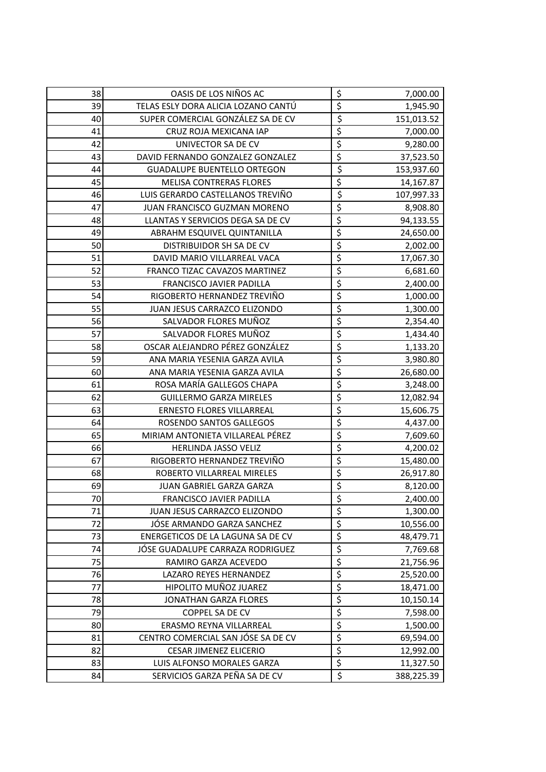| 38 | OASIS DE LOS NIÑOS AC               | \$                                  | 7,000.00   |
|----|-------------------------------------|-------------------------------------|------------|
| 39 | TELAS ESLY DORA ALICIA LOZANO CANTÚ | $\overline{\xi}$                    | 1,945.90   |
| 40 | SUPER COMERCIAL GONZÁLEZ SA DE CV   | $\overline{\xi}$                    | 151,013.52 |
| 41 | CRUZ ROJA MEXICANA IAP              | $\overline{\xi}$                    | 7,000.00   |
| 42 | UNIVECTOR SA DE CV                  | \$                                  | 9,280.00   |
| 43 | DAVID FERNANDO GONZALEZ GONZALEZ    | \$                                  | 37,523.50  |
| 44 | <b>GUADALUPE BUENTELLO ORTEGON</b>  | \$                                  | 153,937.60 |
| 45 | <b>MELISA CONTRERAS FLORES</b>      | \$                                  | 14,167.87  |
| 46 | LUIS GERARDO CASTELLANOS TREVIÑO    | $\overline{\varsigma}$              | 107,997.33 |
| 47 | JUAN FRANCISCO GUZMAN MORENO        | \$                                  | 8,908.80   |
| 48 | LLANTAS Y SERVICIOS DEGA SA DE CV   | \$                                  | 94,133.55  |
| 49 | ABRAHM ESQUIVEL QUINTANILLA         | $\overline{\xi}$                    | 24,650.00  |
| 50 | DISTRIBUIDOR SH SA DE CV            | $\overline{\xi}$                    | 2,002.00   |
| 51 | DAVID MARIO VILLARREAL VACA         | \$                                  | 17,067.30  |
| 52 | FRANCO TIZAC CAVAZOS MARTINEZ       | \$                                  | 6,681.60   |
| 53 | <b>FRANCISCO JAVIER PADILLA</b>     | $\overline{\xi}$                    | 2,400.00   |
| 54 | RIGOBERTO HERNANDEZ TREVIÑO         | \$                                  | 1,000.00   |
| 55 | JUAN JESUS CARRAZCO ELIZONDO        | \$                                  | 1,300.00   |
| 56 | SALVADOR FLORES MUÑOZ               | $\overline{\boldsymbol{\varsigma}}$ | 2,354.40   |
| 57 | SALVADOR FLORES MUÑOZ               | \$                                  | 1,434.40   |
| 58 | OSCAR ALEJANDRO PÉREZ GONZÁLEZ      | \$                                  | 1,133.20   |
| 59 | ANA MARIA YESENIA GARZA AVILA       | \$                                  | 3,980.80   |
| 60 | ANA MARIA YESENIA GARZA AVILA       | $\overline{\xi}$                    | 26,680.00  |
| 61 | ROSA MARÍA GALLEGOS CHAPA           | $\overline{\xi}$                    | 3,248.00   |
| 62 | <b>GUILLERMO GARZA MIRELES</b>      | \$                                  | 12,082.94  |
| 63 | <b>ERNESTO FLORES VILLARREAL</b>    | \$                                  | 15,606.75  |
| 64 | ROSENDO SANTOS GALLEGOS             | \$                                  | 4,437.00   |
| 65 | MIRIAM ANTONIETA VILLAREAL PÉREZ    | \$                                  | 7,609.60   |
| 66 | HERLINDA JASSO VELIZ                | $\overline{\xi}$                    | 4,200.02   |
| 67 | RIGOBERTO HERNANDEZ TREVIÑO         | \$                                  | 15,480.00  |
| 68 | ROBERTO VILLARREAL MIRELES          | \$                                  | 26,917.80  |
| 69 | JUAN GABRIEL GARZA GARZA            | \$                                  | 8,120.00   |
| 70 | <b>FRANCISCO JAVIER PADILLA</b>     | $\overline{\xi}$                    | 2,400.00   |
| 71 | JUAN JESUS CARRAZCO ELIZONDO        | \$                                  | 1,300.00   |
| 72 | JÓSE ARMANDO GARZA SANCHEZ          | \$                                  | 10,556.00  |
| 73 | ENERGETICOS DE LA LAGUNA SA DE CV   | \$                                  | 48,479.71  |
| 74 | JÓSE GUADALUPE CARRAZA RODRIGUEZ    | \$                                  | 7,769.68   |
| 75 | RAMIRO GARZA ACEVEDO                | \$                                  | 21,756.96  |
| 76 | LAZARO REYES HERNANDEZ              | $\overline{\xi}$                    | 25,520.00  |
| 77 | HIPOLITO MUÑOZ JUAREZ               | \$                                  | 18,471.00  |
| 78 | <b>JONATHAN GARZA FLORES</b>        | \$                                  | 10,150.14  |
| 79 | <b>COPPEL SA DE CV</b>              | \$                                  | 7,598.00   |
| 80 | ERASMO REYNA VILLARREAL             | $\overline{\xi}$                    | 1,500.00   |
| 81 | CENTRO COMERCIAL SAN JÓSE SA DE CV  | \$                                  | 69,594.00  |
| 82 | <b>CESAR JIMENEZ ELICERIO</b>       | \$                                  | 12,992.00  |
| 83 | LUIS ALFONSO MORALES GARZA          | \$                                  | 11,327.50  |
| 84 | SERVICIOS GARZA PEÑA SA DE CV       | \$                                  | 388,225.39 |